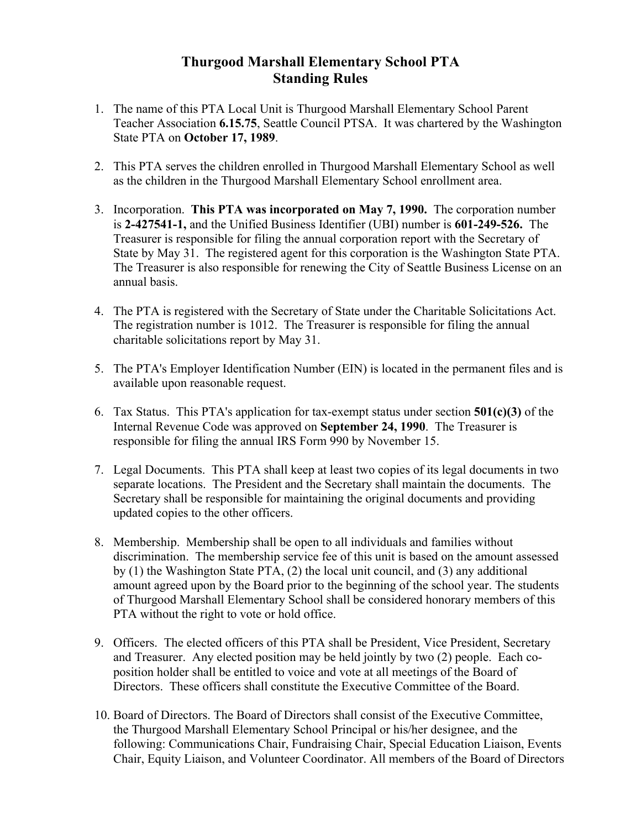## **Thurgood Marshall Elementary School PTA Standing Rules**

- 1. The name of this PTA Local Unit is Thurgood Marshall Elementary School Parent Teacher Association **6.15.75**, Seattle Council PTSA. It was chartered by the Washington State PTA on **October 17, 1989**.
- 2. This PTA serves the children enrolled in Thurgood Marshall Elementary School as well as the children in the Thurgood Marshall Elementary School enrollment area.
- 3. Incorporation. **This PTA was incorporated on May 7, 1990.** The corporation number is **2-427541-1,** and the Unified Business Identifier (UBI) number is **601-249-526.** The Treasurer is responsible for filing the annual corporation report with the Secretary of State by May 31. The registered agent for this corporation is the Washington State PTA. The Treasurer is also responsible for renewing the City of Seattle Business License on an annual basis.
- 4. The PTA is registered with the Secretary of State under the Charitable Solicitations Act. The registration number is 1012. The Treasurer is responsible for filing the annual charitable solicitations report by May 31.
- 5. The PTA's Employer Identification Number (EIN) is located in the permanent files and is available upon reasonable request.
- 6. Tax Status. This PTA's application for tax-exempt status under section **501(c)(3)** of the Internal Revenue Code was approved on **September 24, 1990**. The Treasurer is responsible for filing the annual IRS Form 990 by November 15.
- 7. Legal Documents. This PTA shall keep at least two copies of its legal documents in two separate locations. The President and the Secretary shall maintain the documents. The Secretary shall be responsible for maintaining the original documents and providing updated copies to the other officers.
- 8. Membership. Membership shall be open to all individuals and families without discrimination. The membership service fee of this unit is based on the amount assessed by (1) the Washington State PTA, (2) the local unit council, and (3) any additional amount agreed upon by the Board prior to the beginning of the school year. The students of Thurgood Marshall Elementary School shall be considered honorary members of this PTA without the right to vote or hold office.
- 9. Officers. The elected officers of this PTA shall be President, Vice President, Secretary and Treasurer. Any elected position may be held jointly by two (2) people. Each coposition holder shall be entitled to voice and vote at all meetings of the Board of Directors. These officers shall constitute the Executive Committee of the Board.
- 10. Board of Directors. The Board of Directors shall consist of the Executive Committee, the Thurgood Marshall Elementary School Principal or his/her designee, and the following: Communications Chair, Fundraising Chair, Special Education Liaison, Events Chair, Equity Liaison, and Volunteer Coordinator. All members of the Board of Directors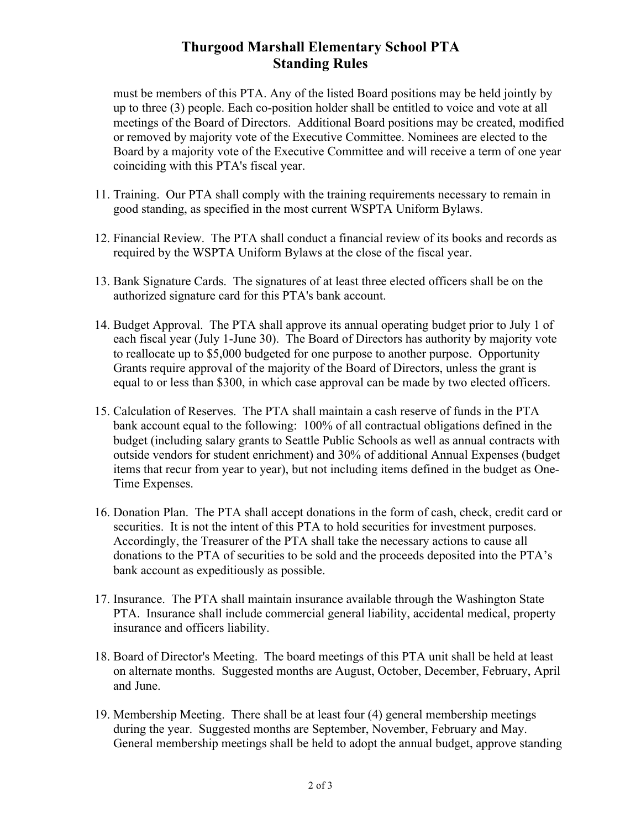## **Thurgood Marshall Elementary School PTA Standing Rules**

must be members of this PTA. Any of the listed Board positions may be held jointly by up to three (3) people. Each co-position holder shall be entitled to voice and vote at all meetings of the Board of Directors. Additional Board positions may be created, modified or removed by majority vote of the Executive Committee. Nominees are elected to the Board by a majority vote of the Executive Committee and will receive a term of one year coinciding with this PTA's fiscal year.

- 11. Training. Our PTA shall comply with the training requirements necessary to remain in good standing, as specified in the most current WSPTA Uniform Bylaws.
- 12. Financial Review. The PTA shall conduct a financial review of its books and records as required by the WSPTA Uniform Bylaws at the close of the fiscal year.
- 13. Bank Signature Cards. The signatures of at least three elected officers shall be on the authorized signature card for this PTA's bank account.
- 14. Budget Approval. The PTA shall approve its annual operating budget prior to July 1 of each fiscal year (July 1-June 30). The Board of Directors has authority by majority vote to reallocate up to \$5,000 budgeted for one purpose to another purpose. Opportunity Grants require approval of the majority of the Board of Directors, unless the grant is equal to or less than \$300, in which case approval can be made by two elected officers.
- 15. Calculation of Reserves. The PTA shall maintain a cash reserve of funds in the PTA bank account equal to the following: 100% of all contractual obligations defined in the budget (including salary grants to Seattle Public Schools as well as annual contracts with outside vendors for student enrichment) and 30% of additional Annual Expenses (budget items that recur from year to year), but not including items defined in the budget as One-Time Expenses.
- 16. Donation Plan. The PTA shall accept donations in the form of cash, check, credit card or securities. It is not the intent of this PTA to hold securities for investment purposes. Accordingly, the Treasurer of the PTA shall take the necessary actions to cause all donations to the PTA of securities to be sold and the proceeds deposited into the PTA's bank account as expeditiously as possible.
- 17. Insurance. The PTA shall maintain insurance available through the Washington State PTA. Insurance shall include commercial general liability, accidental medical, property insurance and officers liability.
- 18. Board of Director's Meeting. The board meetings of this PTA unit shall be held at least on alternate months. Suggested months are August, October, December, February, April and June.
- 19. Membership Meeting. There shall be at least four (4) general membership meetings during the year. Suggested months are September, November, February and May. General membership meetings shall be held to adopt the annual budget, approve standing